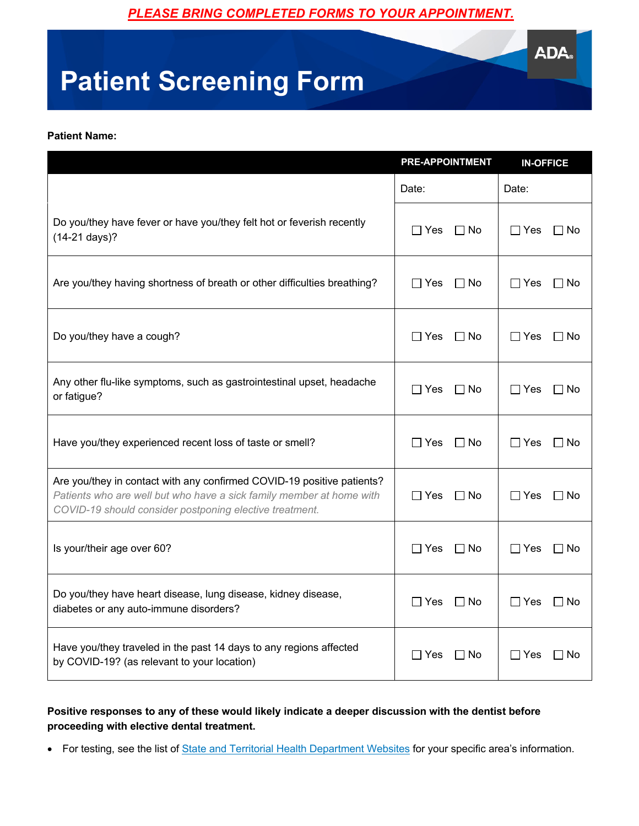*PLEASE BRING COMPLETED FORMS TO YOUR APPOINTMENT.*

**ADA** 

# **Patient Screening Form**

#### **Patient Name:**

|                                                                                                                                                                                                           | <b>PRE-APPOINTMENT</b>          | <b>IN-OFFICE</b>           |  |
|-----------------------------------------------------------------------------------------------------------------------------------------------------------------------------------------------------------|---------------------------------|----------------------------|--|
|                                                                                                                                                                                                           | Date:                           | Date:                      |  |
| Do you/they have fever or have you/they felt hot or feverish recently<br>(14-21 days)?                                                                                                                    | $\Box$ No<br>$\blacksquare$ Yes | $\blacksquare$ Yes<br>∐ No |  |
| Are you/they having shortness of breath or other difficulties breathing?                                                                                                                                  | $\Box$ No<br>∏ Yes              | ∏ Yes<br>$\Box$ No         |  |
| Do you/they have a cough?                                                                                                                                                                                 | $\Box$ Yes<br>$\Box$ No         | $\Box$ Yes<br>$\Box$ No    |  |
| Any other flu-like symptoms, such as gastrointestinal upset, headache<br>or fatigue?                                                                                                                      | ∐ Yes<br>l I No                 | ∐ Yes<br>l I No            |  |
| Have you/they experienced recent loss of taste or smell?                                                                                                                                                  | $\Box$ No<br>$\Box$ Yes         | $\Box$ No<br>$\Box$ Yes    |  |
| Are you/they in contact with any confirmed COVID-19 positive patients?<br>Patients who are well but who have a sick family member at home with<br>COVID-19 should consider postponing elective treatment. | $\Box$ No<br>∏ Yes              | ∣ Yes<br>∏ No              |  |
| Is your/their age over 60?                                                                                                                                                                                | $\Box$ Yes<br>$\Box$ No         | ∐ Yes<br>l I No            |  |
| Do you/they have heart disease, lung disease, kidney disease,<br>diabetes or any auto-immune disorders?                                                                                                   | $\Box$ No<br>$\Box$ Yes         | $\Box$ Yes<br>∏ No         |  |
| Have you/they traveled in the past 14 days to any regions affected<br>by COVID-19? (as relevant to your location)                                                                                         | $\Box$ No<br>∣ I Yes            | ∏ Yes<br>∏ No              |  |

#### **Positive responses to any of these would likely indicate a deeper discussion with the dentist before proceeding with elective dental treatment.**

• For testing, see the list of State and Territorial Health Department Websites for your specific area's information.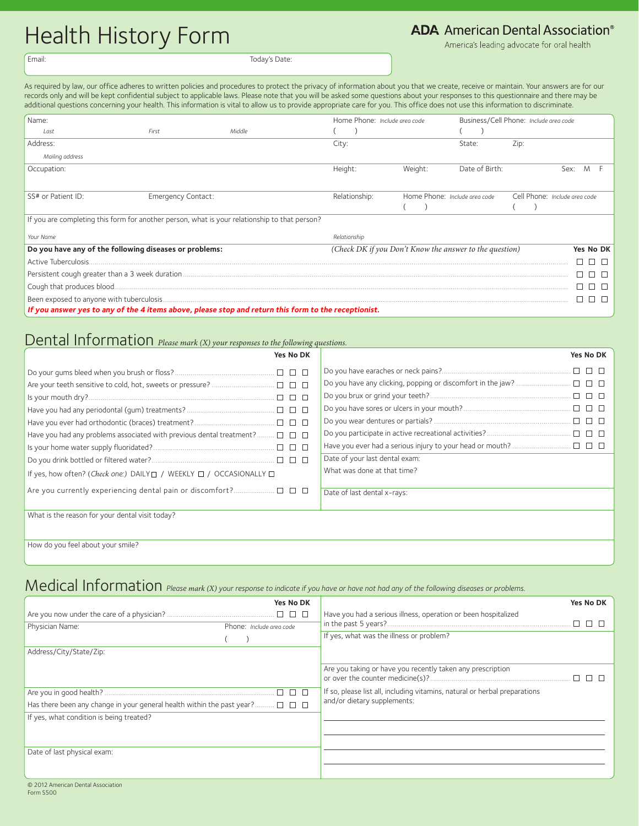# Health History Form

#### **ADA** American Dental Association<sup>®</sup>

America's leading advocate for oral health

| × |  |
|---|--|
|   |  |

Today's Date:

As required by law, our office adheres to written policies and procedures to protect the privacy of information about you that we create, receive or maintain. Your answers are for our records only and will be kept confidential subject to applicable laws. Please note that you will be asked some questions about your responses to this questionnaire and there may be additional questions concerning your health. This information is vital to allow us to provide appropriate care for you. This office does not use this information to discriminate.

| Name:              |                                                        |                                                                                                      | Home Phone: Include area code |         | Business/Cell Phone: Include area code                  |                               |      |           |  |
|--------------------|--------------------------------------------------------|------------------------------------------------------------------------------------------------------|-------------------------------|---------|---------------------------------------------------------|-------------------------------|------|-----------|--|
| Last               | First                                                  | Middle                                                                                               |                               |         |                                                         |                               |      |           |  |
| Address:           |                                                        |                                                                                                      | City:                         |         | State:                                                  | Zip:                          |      |           |  |
| Mailing address    |                                                        |                                                                                                      |                               |         |                                                         |                               |      |           |  |
| Occupation:        |                                                        |                                                                                                      | Height:                       | Weight: | Date of Birth:                                          |                               | Sex: |           |  |
|                    |                                                        |                                                                                                      |                               |         |                                                         |                               |      |           |  |
| SS# or Patient ID: | Emergency Contact:                                     |                                                                                                      | Relationship:                 |         | Home Phone: Include area code                           | Cell Phone: Include area code |      |           |  |
|                    |                                                        |                                                                                                      |                               |         |                                                         |                               |      |           |  |
|                    |                                                        | If you are completing this form for another person, what is your relationship to that person?        |                               |         |                                                         |                               |      |           |  |
| Your Name          |                                                        |                                                                                                      | Relationship                  |         |                                                         |                               |      |           |  |
|                    |                                                        |                                                                                                      |                               |         |                                                         |                               |      |           |  |
|                    | Do you have any of the following diseases or problems: |                                                                                                      |                               |         | (Check DK if you Don't Know the answer to the question) |                               |      | Yes No DK |  |
|                    |                                                        |                                                                                                      |                               |         |                                                         |                               |      | 88 8 8    |  |
|                    |                                                        |                                                                                                      |                               |         |                                                         |                               |      | п         |  |
|                    |                                                        |                                                                                                      |                               |         |                                                         |                               |      | $\Box$    |  |
|                    |                                                        |                                                                                                      |                               |         |                                                         |                               |      |           |  |
|                    |                                                        | If you answer yes to any of the 4 items above, please stop and return this form to the receptionist. |                               |         |                                                         |                               |      |           |  |

## Dental Information Please mark (X) your responses to the following questions.

| Yes No DK                      |
|--------------------------------|
|                                |
|                                |
|                                |
|                                |
|                                |
|                                |
|                                |
| Date of your last dental exam: |
| What was done at that time?    |
| Date of last dental x-rays:    |
|                                |
|                                |
|                                |

How do you feel about your smile?

## Medical Information *Please mark (X) your response to indicate if you have or have not had any of the following diseases or problems.*

|                                                                                      | Yes No DK                | <b>Yes No DK</b>                                                           |
|--------------------------------------------------------------------------------------|--------------------------|----------------------------------------------------------------------------|
|                                                                                      |                          | Have you had a serious illness, operation or been hospitalized             |
| Physician Name:                                                                      | Phone: Include area code |                                                                            |
|                                                                                      |                          | If yes, what was the illness or problem?                                   |
| Address/City/State/Zip:                                                              |                          |                                                                            |
|                                                                                      |                          | Are you taking or have you recently taken any prescription                 |
|                                                                                      | $\Box$                   | If so, please list all, including vitamins, natural or herbal preparations |
| Has there been any change in your general health within the past year? $\Box$ $\Box$ |                          | and/or dietary supplements:                                                |
| If yes, what condition is being treated?                                             |                          |                                                                            |
|                                                                                      |                          |                                                                            |
|                                                                                      |                          |                                                                            |
| Date of last physical exam:                                                          |                          |                                                                            |
|                                                                                      |                          |                                                                            |